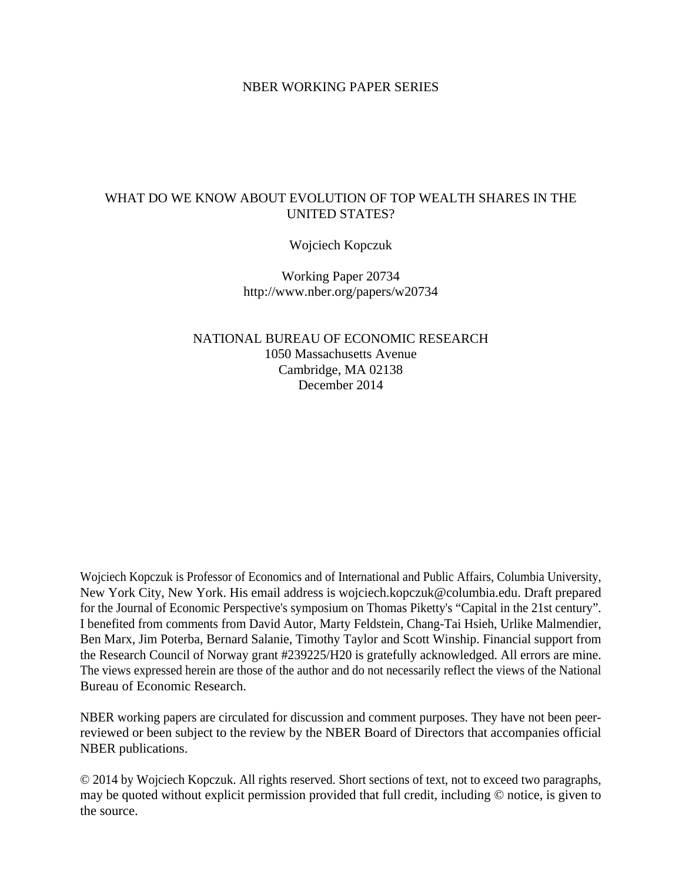### NBER WORKING PAPER SERIES

### WHAT DO WE KNOW ABOUT EVOLUTION OF TOP WEALTH SHARES IN THE UNITED STATES?

Wojciech Kopczuk

Working Paper 20734 http://www.nber.org/papers/w20734

NATIONAL BUREAU OF ECONOMIC RESEARCH 1050 Massachusetts Avenue Cambridge, MA 02138 December 2014

Wojciech Kopczuk is Professor of Economics and of International and Public Affairs, Columbia University, New York City, New York. His email address is wojciech.kopczuk@columbia.edu. Draft prepared for the Journal of Economic Perspective's symposium on Thomas Piketty's "Capital in the 21st century". I benefited from comments from David Autor, Marty Feldstein, Chang-Tai Hsieh, Urlike Malmendier, Ben Marx, Jim Poterba, Bernard Salanie, Timothy Taylor and Scott Winship. Financial support from the Research Council of Norway grant #239225/H20 is gratefully acknowledged. All errors are mine. The views expressed herein are those of the author and do not necessarily reflect the views of the National Bureau of Economic Research.

NBER working papers are circulated for discussion and comment purposes. They have not been peerreviewed or been subject to the review by the NBER Board of Directors that accompanies official NBER publications.

© 2014 by Wojciech Kopczuk. All rights reserved. Short sections of text, not to exceed two paragraphs, may be quoted without explicit permission provided that full credit, including © notice, is given to the source.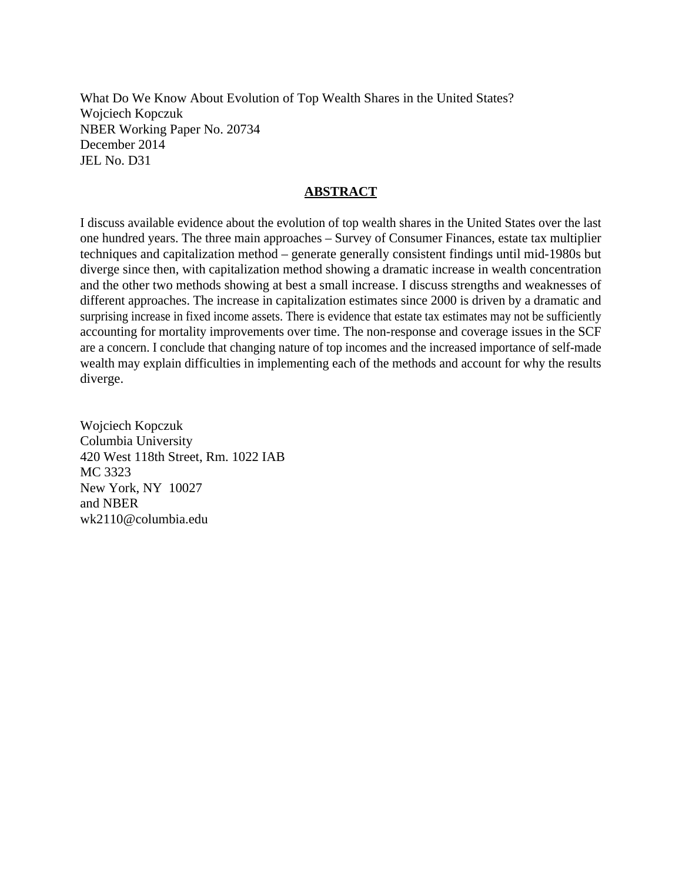What Do We Know About Evolution of Top Wealth Shares in the United States? Wojciech Kopczuk NBER Working Paper No. 20734 December 2014 JEL No. D31

### **ABSTRACT**

I discuss available evidence about the evolution of top wealth shares in the United States over the last one hundred years. The three main approaches – Survey of Consumer Finances, estate tax multiplier techniques and capitalization method – generate generally consistent findings until mid-1980s but diverge since then, with capitalization method showing a dramatic increase in wealth concentration and the other two methods showing at best a small increase. I discuss strengths and weaknesses of different approaches. The increase in capitalization estimates since 2000 is driven by a dramatic and surprising increase in fixed income assets. There is evidence that estate tax estimates may not be sufficiently accounting for mortality improvements over time. The non-response and coverage issues in the SCF are a concern. I conclude that changing nature of top incomes and the increased importance of self-made wealth may explain difficulties in implementing each of the methods and account for why the results diverge.

Wojciech Kopczuk Columbia University 420 West 118th Street, Rm. 1022 IAB MC 3323 New York, NY 10027 and NBER wk2110@columbia.edu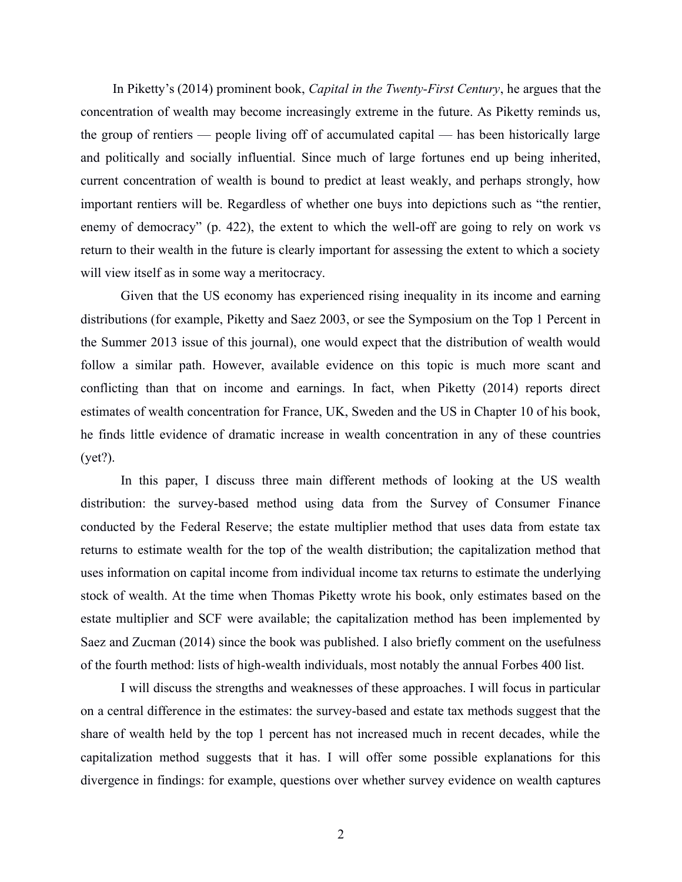In Piketty's (2014) prominent book, *Capital in the Twenty-First Century*, he argues that the concentration of wealth may become increasingly extreme in the future. As Piketty reminds us, the group of rentiers — people living off of accumulated capital — has been historically large and politically and socially influential. Since much of large fortunes end up being inherited, current concentration of wealth is bound to predict at least weakly, and perhaps strongly, how important rentiers will be. Regardless of whether one buys into depictions such as "the rentier, enemy of democracy" (p. 422), the extent to which the well-off are going to rely on work vs return to their wealth in the future is clearly important for assessing the extent to which a society will view itself as in some way a meritocracy.

Given that the US economy has experienced rising inequality in its income and earning distributions (for example, Piketty and Saez 2003, or see the Symposium on the Top 1 Percent in the Summer 2013 issue of this journal), one would expect that the distribution of wealth would follow a similar path. However, available evidence on this topic is much more scant and conflicting than that on income and earnings. In fact, when Piketty (2014) reports direct estimates of wealth concentration for France, UK, Sweden and the US in Chapter 10 of his book, he finds little evidence of dramatic increase in wealth concentration in any of these countries (yet?).

In this paper, I discuss three main different methods of looking at the US wealth distribution: the survey-based method using data from the Survey of Consumer Finance conducted by the Federal Reserve; the estate multiplier method that uses data from estate tax returns to estimate wealth for the top of the wealth distribution; the capitalization method that uses information on capital income from individual income tax returns to estimate the underlying stock of wealth. At the time when Thomas Piketty wrote his book, only estimates based on the estate multiplier and SCF were available; the capitalization method has been implemented by Saez and Zucman (2014) since the book was published. I also briefly comment on the usefulness of the fourth method: lists of high-wealth individuals, most notably the annual Forbes 400 list.

I will discuss the strengths and weaknesses of these approaches. I will focus in particular on a central difference in the estimates: the survey-based and estate tax methods suggest that the share of wealth held by the top 1 percent has not increased much in recent decades, while the capitalization method suggests that it has. I will offer some possible explanations for this divergence in findings: for example, questions over whether survey evidence on wealth captures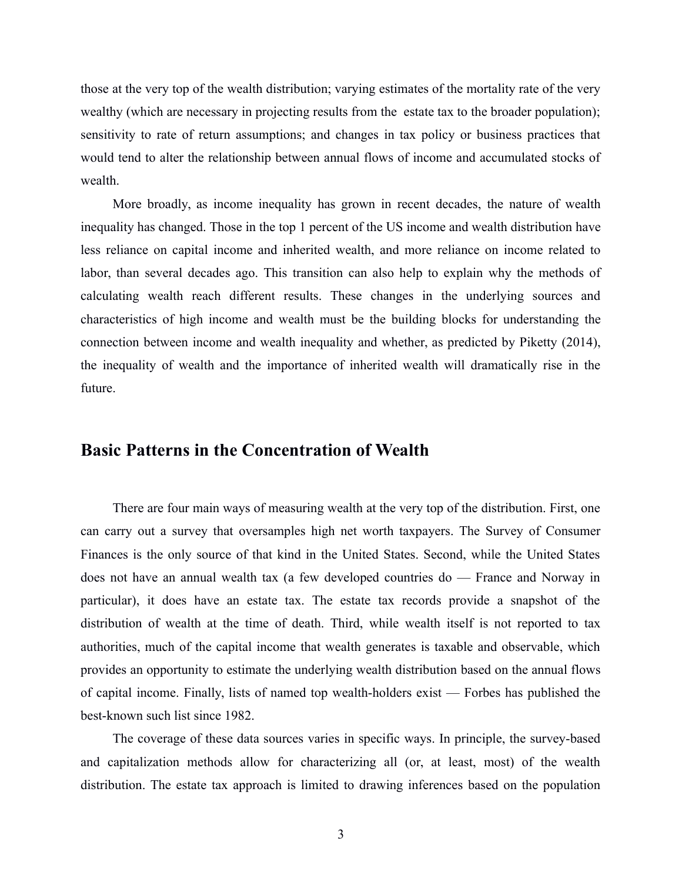those at the very top of the wealth distribution; varying estimates of the mortality rate of the very wealthy (which are necessary in projecting results from the estate tax to the broader population); sensitivity to rate of return assumptions; and changes in tax policy or business practices that would tend to alter the relationship between annual flows of income and accumulated stocks of wealth.

More broadly, as income inequality has grown in recent decades, the nature of wealth inequality has changed. Those in the top 1 percent of the US income and wealth distribution have less reliance on capital income and inherited wealth, and more reliance on income related to labor, than several decades ago. This transition can also help to explain why the methods of calculating wealth reach different results. These changes in the underlying sources and characteristics of high income and wealth must be the building blocks for understanding the connection between income and wealth inequality and whether, as predicted by Piketty (2014), the inequality of wealth and the importance of inherited wealth will dramatically rise in the future.

# **Basic Patterns in the Concentration of Wealth**

There are four main ways of measuring wealth at the very top of the distribution. First, one can carry out a survey that oversamples high net worth taxpayers. The Survey of Consumer Finances is the only source of that kind in the United States. Second, while the United States does not have an annual wealth tax (a few developed countries do — France and Norway in particular), it does have an estate tax. The estate tax records provide a snapshot of the distribution of wealth at the time of death. Third, while wealth itself is not reported to tax authorities, much of the capital income that wealth generates is taxable and observable, which provides an opportunity to estimate the underlying wealth distribution based on the annual flows of capital income. Finally, lists of named top wealth-holders exist — Forbes has published the best-known such list since 1982.

The coverage of these data sources varies in specific ways. In principle, the survey-based and capitalization methods allow for characterizing all (or, at least, most) of the wealth distribution. The estate tax approach is limited to drawing inferences based on the population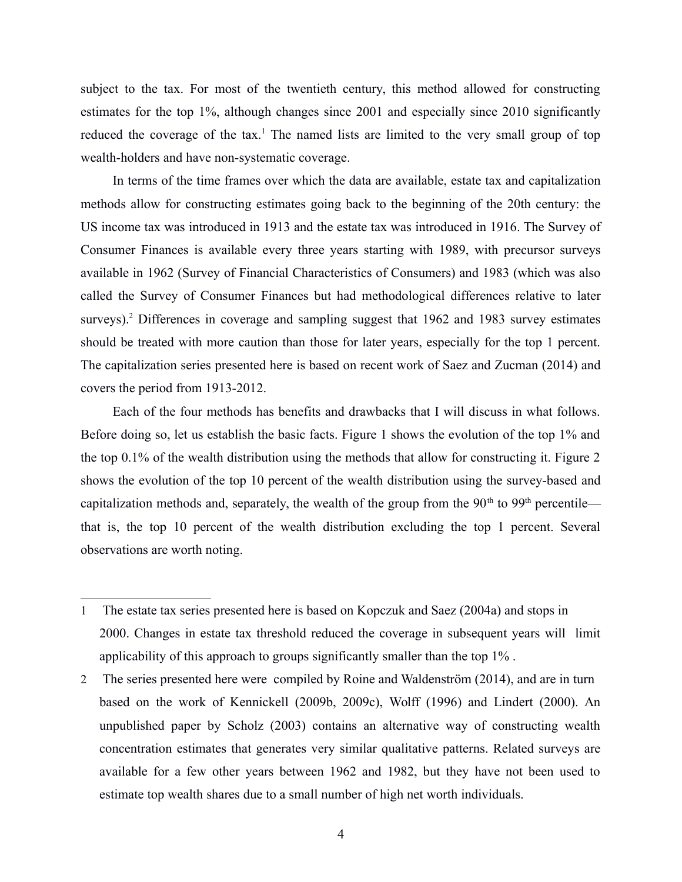subject to the tax. For most of the twentieth century, this method allowed for constructing estimates for the top 1%, although changes since 2001 and especially since 2010 significantly reduced the coverage of the tax.<sup>[1](#page-4-0)</sup> The named lists are limited to the very small group of top wealth-holders and have non-systematic coverage.

In terms of the time frames over which the data are available, estate tax and capitalization methods allow for constructing estimates going back to the beginning of the 20th century: the US income tax was introduced in 1913 and the estate tax was introduced in 1916. The Survey of Consumer Finances is available every three years starting with 1989, with precursor surveys available in 1962 (Survey of Financial Characteristics of Consumers) and 1983 (which was also called the Survey of Consumer Finances but had methodological differences relative to later surveys).<sup>[2](#page-4-1)</sup> Differences in coverage and sampling suggest that  $1962$  and  $1983$  survey estimates should be treated with more caution than those for later years, especially for the top 1 percent. The capitalization series presented here is based on recent work of Saez and Zucman (2014) and covers the period from 1913-2012.

Each of the four methods has benefits and drawbacks that I will discuss in what follows. Before doing so, let us establish the basic facts. Figure 1 shows the evolution of the top 1% and the top 0.1% of the wealth distribution using the methods that allow for constructing it. Figure 2 shows the evolution of the top 10 percent of the wealth distribution using the survey-based and capitalization methods and, separately, the wealth of the group from the  $90<sup>th</sup>$  to  $99<sup>th</sup>$  percentile that is, the top 10 percent of the wealth distribution excluding the top 1 percent. Several observations are worth noting.

<span id="page-4-0"></span><sup>1</sup> The estate tax series presented here is based on Kopczuk and Saez (2004a) and stops in 2000. Changes in estate tax threshold reduced the coverage in subsequent years will limit applicability of this approach to groups significantly smaller than the top 1% .

<span id="page-4-1"></span><sup>2</sup> The series presented here were compiled by Roine and Waldenström (2014), and are in turn based on the work of Kennickell (2009b, 2009c), Wolff (1996) and Lindert (2000). An unpublished paper by Scholz (2003) contains an alternative way of constructing wealth concentration estimates that generates very similar qualitative patterns. Related surveys are available for a few other years between 1962 and 1982, but they have not been used to estimate top wealth shares due to a small number of high net worth individuals.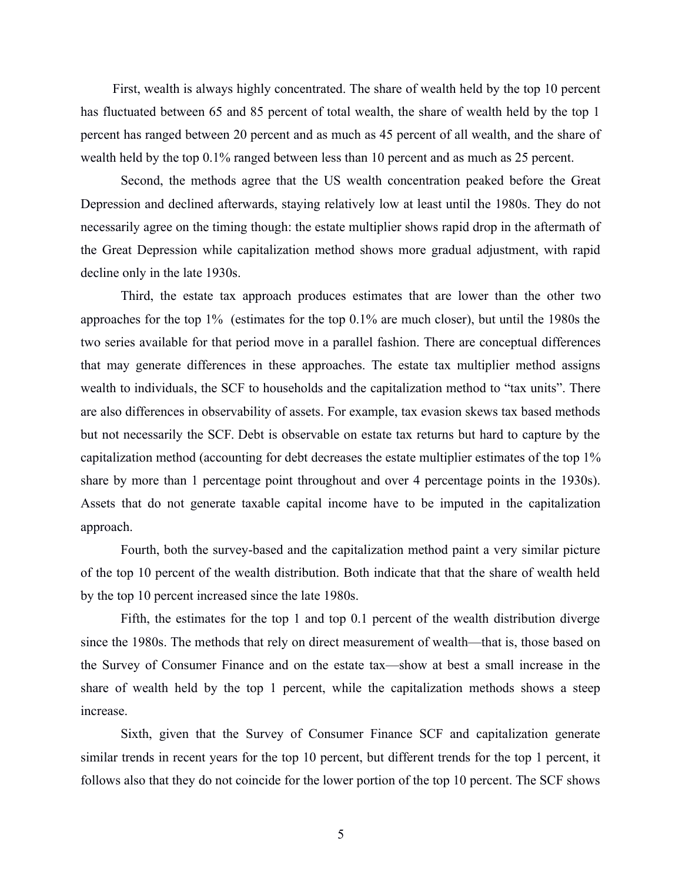First, wealth is always highly concentrated. The share of wealth held by the top 10 percent has fluctuated between 65 and 85 percent of total wealth, the share of wealth held by the top 1 percent has ranged between 20 percent and as much as 45 percent of all wealth, and the share of wealth held by the top 0.1% ranged between less than 10 percent and as much as 25 percent.

Second, the methods agree that the US wealth concentration peaked before the Great Depression and declined afterwards, staying relatively low at least until the 1980s. They do not necessarily agree on the timing though: the estate multiplier shows rapid drop in the aftermath of the Great Depression while capitalization method shows more gradual adjustment, with rapid decline only in the late 1930s.

Third, the estate tax approach produces estimates that are lower than the other two approaches for the top 1% (estimates for the top 0.1% are much closer), but until the 1980s the two series available for that period move in a parallel fashion. There are conceptual differences that may generate differences in these approaches. The estate tax multiplier method assigns wealth to individuals, the SCF to households and the capitalization method to "tax units". There are also differences in observability of assets. For example, tax evasion skews tax based methods but not necessarily the SCF. Debt is observable on estate tax returns but hard to capture by the capitalization method (accounting for debt decreases the estate multiplier estimates of the top 1% share by more than 1 percentage point throughout and over 4 percentage points in the 1930s). Assets that do not generate taxable capital income have to be imputed in the capitalization approach.

Fourth, both the survey-based and the capitalization method paint a very similar picture of the top 10 percent of the wealth distribution. Both indicate that that the share of wealth held by the top 10 percent increased since the late 1980s.

Fifth, the estimates for the top 1 and top 0.1 percent of the wealth distribution diverge since the 1980s. The methods that rely on direct measurement of wealth—that is, those based on the Survey of Consumer Finance and on the estate tax—show at best a small increase in the share of wealth held by the top 1 percent, while the capitalization methods shows a steep increase.

Sixth, given that the Survey of Consumer Finance SCF and capitalization generate similar trends in recent years for the top 10 percent, but different trends for the top 1 percent, it follows also that they do not coincide for the lower portion of the top 10 percent. The SCF shows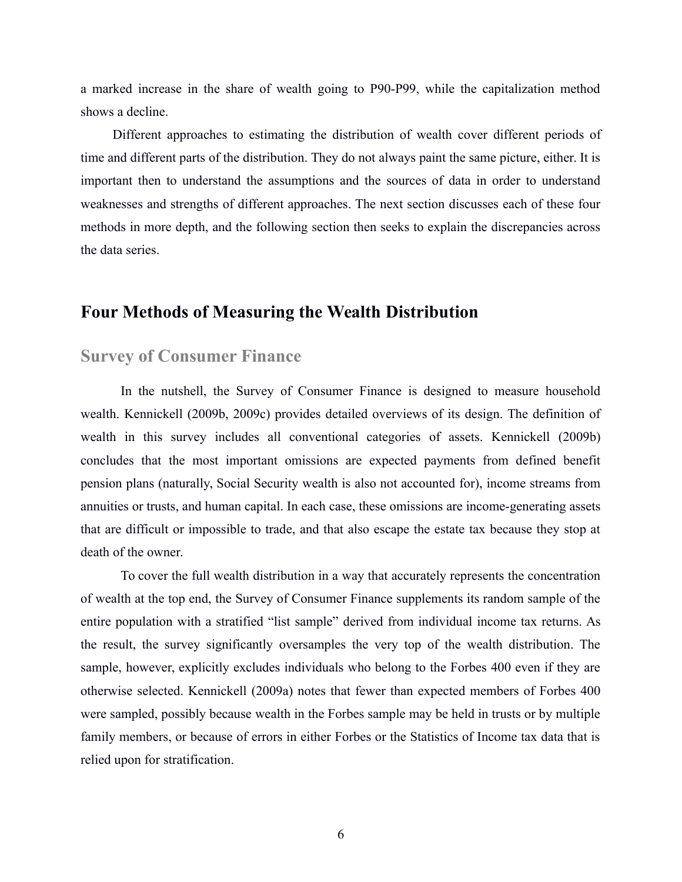a marked increase in the share of wealth going to P90-P99, while the capitalization method shows a decline.

Different approaches to estimating the distribution of wealth cover different periods of time and different parts of the distribution. They do not always paint the same picture, either. It is important then to understand the assumptions and the sources of data in order to understand weaknesses and strengths of different approaches. The next section discusses each of these four methods in more depth, and the following section then seeks to explain the discrepancies across the data series.

# **Four Methods of Measuring the Wealth Distribution**

## **Survey of Consumer Finance**

In the nutshell, the Survey of Consumer Finance is designed to measure household wealth. Kennickell (2009b, 2009c) provides detailed overviews of its design. The definition of wealth in this survey includes all conventional categories of assets. Kennickell (2009b) concludes that the most important omissions are expected payments from defined benefit pension plans (naturally, Social Security wealth is also not accounted for), income streams from annuities or trusts, and human capital. In each case, these omissions are income-generating assets that are difficult or impossible to trade, and that also escape the estate tax because they stop at death of the owner.

To cover the full wealth distribution in a way that accurately represents the concentration of wealth at the top end, the Survey of Consumer Finance supplements its random sample of the entire population with a stratified "list sample" derived from individual income tax returns. As the result, the survey significantly oversamples the very top of the wealth distribution. The sample, however, explicitly excludes individuals who belong to the Forbes 400 even if they are otherwise selected. Kennickell (2009a) notes that fewer than expected members of Forbes 400 were sampled, possibly because wealth in the Forbes sample may be held in trusts or by multiple family members, or because of errors in either Forbes or the Statistics of Income tax data that is relied upon for stratification.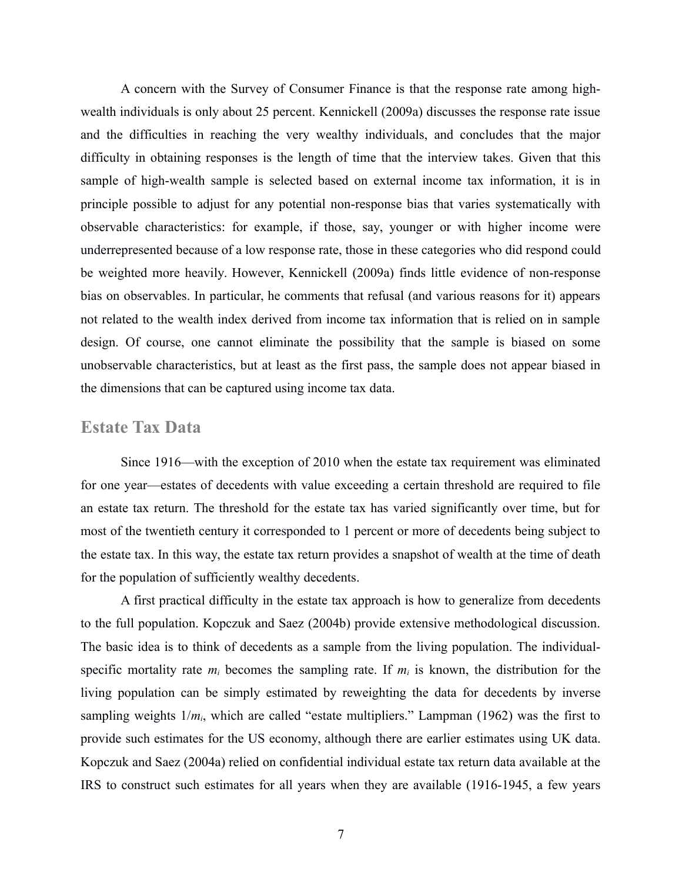A concern with the Survey of Consumer Finance is that the response rate among highwealth individuals is only about 25 percent. Kennickell (2009a) discusses the response rate issue and the difficulties in reaching the very wealthy individuals, and concludes that the major difficulty in obtaining responses is the length of time that the interview takes. Given that this sample of high-wealth sample is selected based on external income tax information, it is in principle possible to adjust for any potential non-response bias that varies systematically with observable characteristics: for example, if those, say, younger or with higher income were underrepresented because of a low response rate, those in these categories who did respond could be weighted more heavily. However, Kennickell (2009a) finds little evidence of non-response bias on observables. In particular, he comments that refusal (and various reasons for it) appears not related to the wealth index derived from income tax information that is relied on in sample design. Of course, one cannot eliminate the possibility that the sample is biased on some unobservable characteristics, but at least as the first pass, the sample does not appear biased in the dimensions that can be captured using income tax data.

### **Estate Tax Data**

Since 1916—with the exception of 2010 when the estate tax requirement was eliminated for one year—estates of decedents with value exceeding a certain threshold are required to file an estate tax return. The threshold for the estate tax has varied significantly over time, but for most of the twentieth century it corresponded to 1 percent or more of decedents being subject to the estate tax. In this way, the estate tax return provides a snapshot of wealth at the time of death for the population of sufficiently wealthy decedents.

A first practical difficulty in the estate tax approach is how to generalize from decedents to the full population. Kopczuk and Saez (2004b) provide extensive methodological discussion. The basic idea is to think of decedents as a sample from the living population. The individualspecific mortality rate  $m_i$  becomes the sampling rate. If  $m_i$  is known, the distribution for the living population can be simply estimated by reweighting the data for decedents by inverse sampling weights 1/*mi*, which are called "estate multipliers." Lampman (1962) was the first to provide such estimates for the US economy, although there are earlier estimates using UK data. Kopczuk and Saez (2004a) relied on confidential individual estate tax return data available at the IRS to construct such estimates for all years when they are available (1916-1945, a few years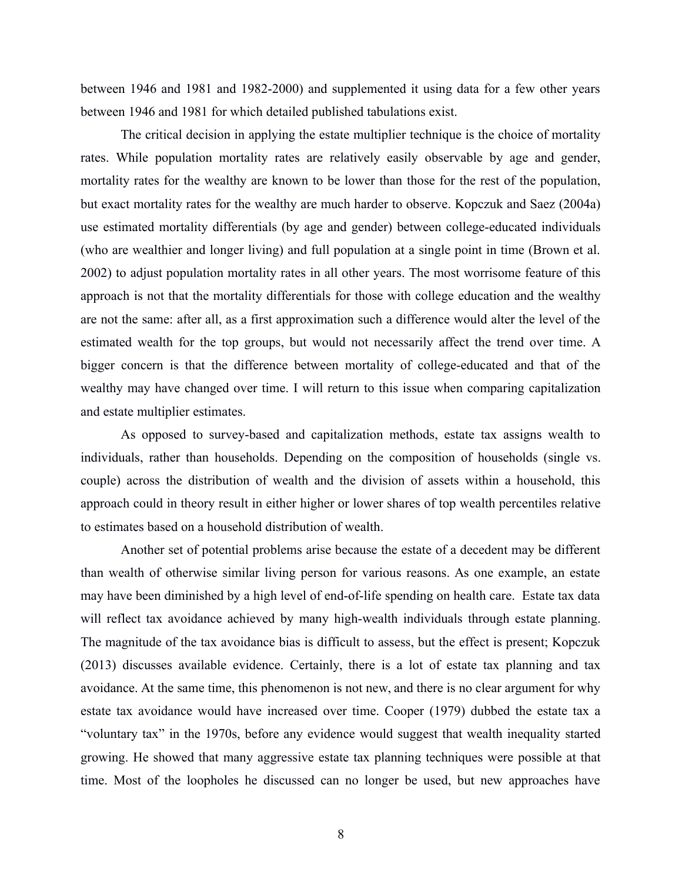between 1946 and 1981 and 1982-2000) and supplemented it using data for a few other years between 1946 and 1981 for which detailed published tabulations exist.

The critical decision in applying the estate multiplier technique is the choice of mortality rates. While population mortality rates are relatively easily observable by age and gender, mortality rates for the wealthy are known to be lower than those for the rest of the population, but exact mortality rates for the wealthy are much harder to observe. Kopczuk and Saez (2004a) use estimated mortality differentials (by age and gender) between college-educated individuals (who are wealthier and longer living) and full population at a single point in time (Brown et al. 2002) to adjust population mortality rates in all other years. The most worrisome feature of this approach is not that the mortality differentials for those with college education and the wealthy are not the same: after all, as a first approximation such a difference would alter the level of the estimated wealth for the top groups, but would not necessarily affect the trend over time. A bigger concern is that the difference between mortality of college-educated and that of the wealthy may have changed over time. I will return to this issue when comparing capitalization and estate multiplier estimates.

As opposed to survey-based and capitalization methods, estate tax assigns wealth to individuals, rather than households. Depending on the composition of households (single vs. couple) across the distribution of wealth and the division of assets within a household, this approach could in theory result in either higher or lower shares of top wealth percentiles relative to estimates based on a household distribution of wealth.

Another set of potential problems arise because the estate of a decedent may be different than wealth of otherwise similar living person for various reasons. As one example, an estate may have been diminished by a high level of end-of-life spending on health care. Estate tax data will reflect tax avoidance achieved by many high-wealth individuals through estate planning. The magnitude of the tax avoidance bias is difficult to assess, but the effect is present; Kopczuk (2013) discusses available evidence. Certainly, there is a lot of estate tax planning and tax avoidance. At the same time, this phenomenon is not new, and there is no clear argument for why estate tax avoidance would have increased over time. Cooper (1979) dubbed the estate tax a "voluntary tax" in the 1970s, before any evidence would suggest that wealth inequality started growing. He showed that many aggressive estate tax planning techniques were possible at that time. Most of the loopholes he discussed can no longer be used, but new approaches have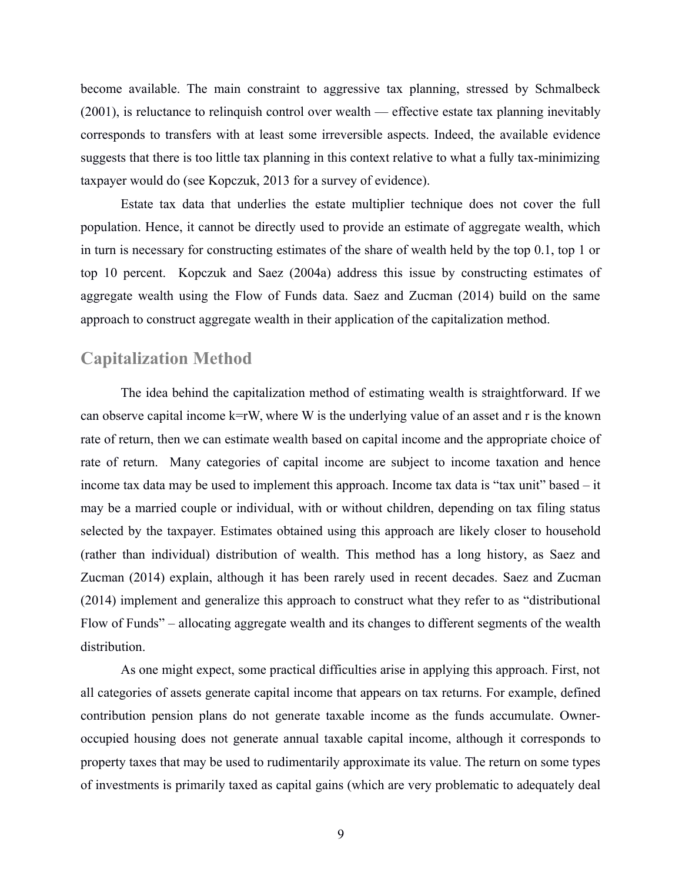become available. The main constraint to aggressive tax planning, stressed by Schmalbeck (2001), is reluctance to relinquish control over wealth — effective estate tax planning inevitably corresponds to transfers with at least some irreversible aspects. Indeed, the available evidence suggests that there is too little tax planning in this context relative to what a fully tax-minimizing taxpayer would do (see Kopczuk, 2013 for a survey of evidence).

Estate tax data that underlies the estate multiplier technique does not cover the full population. Hence, it cannot be directly used to provide an estimate of aggregate wealth, which in turn is necessary for constructing estimates of the share of wealth held by the top 0.1, top 1 or top 10 percent. Kopczuk and Saez (2004a) address this issue by constructing estimates of aggregate wealth using the Flow of Funds data. Saez and Zucman (2014) build on the same approach to construct aggregate wealth in their application of the capitalization method.

## **Capitalization Method**

The idea behind the capitalization method of estimating wealth is straightforward. If we can observe capital income  $k=rW$ , where W is the underlying value of an asset and r is the known rate of return, then we can estimate wealth based on capital income and the appropriate choice of rate of return. Many categories of capital income are subject to income taxation and hence income tax data may be used to implement this approach. Income tax data is "tax unit" based – it may be a married couple or individual, with or without children, depending on tax filing status selected by the taxpayer. Estimates obtained using this approach are likely closer to household (rather than individual) distribution of wealth. This method has a long history, as Saez and Zucman (2014) explain, although it has been rarely used in recent decades. Saez and Zucman (2014) implement and generalize this approach to construct what they refer to as "distributional Flow of Funds" – allocating aggregate wealth and its changes to different segments of the wealth distribution.

As one might expect, some practical difficulties arise in applying this approach. First, not all categories of assets generate capital income that appears on tax returns. For example, defined contribution pension plans do not generate taxable income as the funds accumulate. Owneroccupied housing does not generate annual taxable capital income, although it corresponds to property taxes that may be used to rudimentarily approximate its value. The return on some types of investments is primarily taxed as capital gains (which are very problematic to adequately deal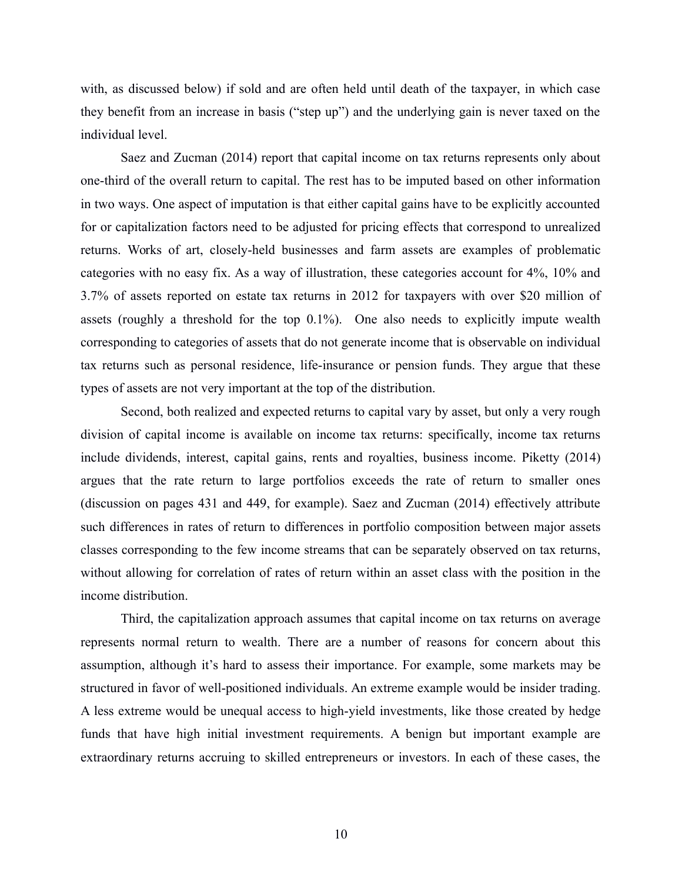with, as discussed below) if sold and are often held until death of the taxpayer, in which case they benefit from an increase in basis ("step up") and the underlying gain is never taxed on the individual level.

Saez and Zucman (2014) report that capital income on tax returns represents only about one-third of the overall return to capital. The rest has to be imputed based on other information in two ways. One aspect of imputation is that either capital gains have to be explicitly accounted for or capitalization factors need to be adjusted for pricing effects that correspond to unrealized returns. Works of art, closely-held businesses and farm assets are examples of problematic categories with no easy fix. As a way of illustration, these categories account for 4%, 10% and 3.7% of assets reported on estate tax returns in 2012 for taxpayers with over \$20 million of assets (roughly a threshold for the top 0.1%). One also needs to explicitly impute wealth corresponding to categories of assets that do not generate income that is observable on individual tax returns such as personal residence, life-insurance or pension funds. They argue that these types of assets are not very important at the top of the distribution.

Second, both realized and expected returns to capital vary by asset, but only a very rough division of capital income is available on income tax returns: specifically, income tax returns include dividends, interest, capital gains, rents and royalties, business income. Piketty (2014) argues that the rate return to large portfolios exceeds the rate of return to smaller ones (discussion on pages 431 and 449, for example). Saez and Zucman (2014) effectively attribute such differences in rates of return to differences in portfolio composition between major assets classes corresponding to the few income streams that can be separately observed on tax returns, without allowing for correlation of rates of return within an asset class with the position in the income distribution.

Third, the capitalization approach assumes that capital income on tax returns on average represents normal return to wealth. There are a number of reasons for concern about this assumption, although it's hard to assess their importance. For example, some markets may be structured in favor of well-positioned individuals. An extreme example would be insider trading. A less extreme would be unequal access to high-yield investments, like those created by hedge funds that have high initial investment requirements. A benign but important example are extraordinary returns accruing to skilled entrepreneurs or investors. In each of these cases, the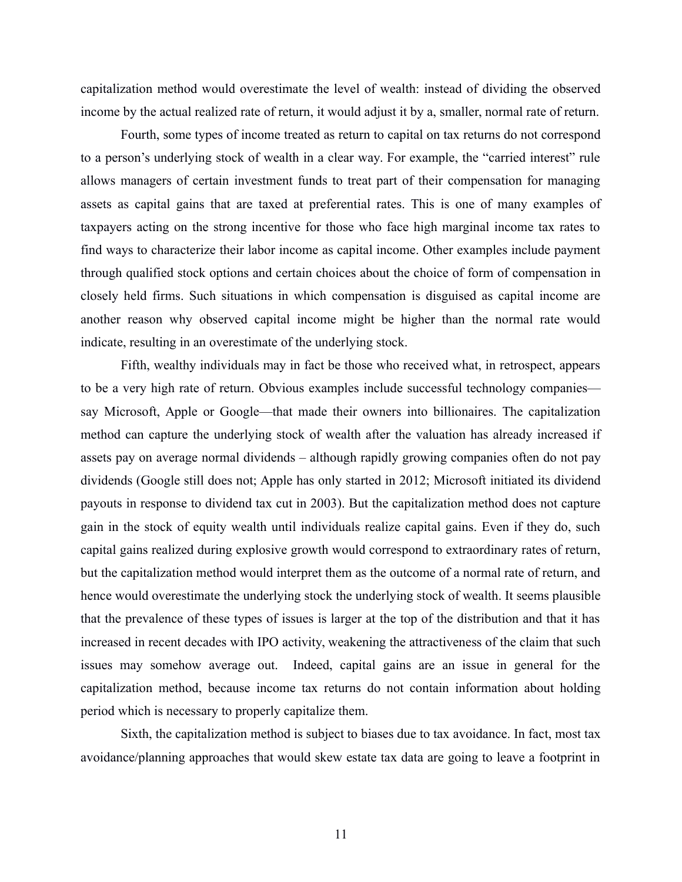capitalization method would overestimate the level of wealth: instead of dividing the observed income by the actual realized rate of return, it would adjust it by a, smaller, normal rate of return.

Fourth, some types of income treated as return to capital on tax returns do not correspond to a person's underlying stock of wealth in a clear way. For example, the "carried interest" rule allows managers of certain investment funds to treat part of their compensation for managing assets as capital gains that are taxed at preferential rates. This is one of many examples of taxpayers acting on the strong incentive for those who face high marginal income tax rates to find ways to characterize their labor income as capital income. Other examples include payment through qualified stock options and certain choices about the choice of form of compensation in closely held firms. Such situations in which compensation is disguised as capital income are another reason why observed capital income might be higher than the normal rate would indicate, resulting in an overestimate of the underlying stock.

Fifth, wealthy individuals may in fact be those who received what, in retrospect, appears to be a very high rate of return. Obvious examples include successful technology companies say Microsoft, Apple or Google—that made their owners into billionaires. The capitalization method can capture the underlying stock of wealth after the valuation has already increased if assets pay on average normal dividends – although rapidly growing companies often do not pay dividends (Google still does not; Apple has only started in 2012; Microsoft initiated its dividend payouts in response to dividend tax cut in 2003). But the capitalization method does not capture gain in the stock of equity wealth until individuals realize capital gains. Even if they do, such capital gains realized during explosive growth would correspond to extraordinary rates of return, but the capitalization method would interpret them as the outcome of a normal rate of return, and hence would overestimate the underlying stock the underlying stock of wealth. It seems plausible that the prevalence of these types of issues is larger at the top of the distribution and that it has increased in recent decades with IPO activity, weakening the attractiveness of the claim that such issues may somehow average out. Indeed, capital gains are an issue in general for the capitalization method, because income tax returns do not contain information about holding period which is necessary to properly capitalize them.

Sixth, the capitalization method is subject to biases due to tax avoidance. In fact, most tax avoidance/planning approaches that would skew estate tax data are going to leave a footprint in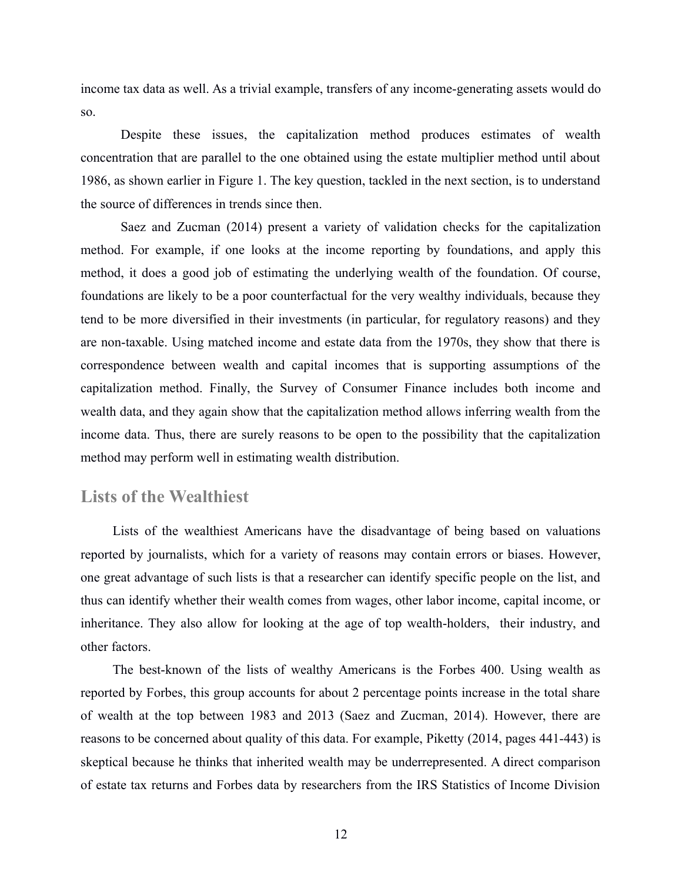income tax data as well. As a trivial example, transfers of any income-generating assets would do so.

Despite these issues, the capitalization method produces estimates of wealth concentration that are parallel to the one obtained using the estate multiplier method until about 1986, as shown earlier in Figure 1. The key question, tackled in the next section, is to understand the source of differences in trends since then.

Saez and Zucman (2014) present a variety of validation checks for the capitalization method. For example, if one looks at the income reporting by foundations, and apply this method, it does a good job of estimating the underlying wealth of the foundation. Of course, foundations are likely to be a poor counterfactual for the very wealthy individuals, because they tend to be more diversified in their investments (in particular, for regulatory reasons) and they are non-taxable. Using matched income and estate data from the 1970s, they show that there is correspondence between wealth and capital incomes that is supporting assumptions of the capitalization method. Finally, the Survey of Consumer Finance includes both income and wealth data, and they again show that the capitalization method allows inferring wealth from the income data. Thus, there are surely reasons to be open to the possibility that the capitalization method may perform well in estimating wealth distribution.

### **Lists of the Wealthiest**

Lists of the wealthiest Americans have the disadvantage of being based on valuations reported by journalists, which for a variety of reasons may contain errors or biases. However, one great advantage of such lists is that a researcher can identify specific people on the list, and thus can identify whether their wealth comes from wages, other labor income, capital income, or inheritance. They also allow for looking at the age of top wealth-holders, their industry, and other factors.

The best-known of the lists of wealthy Americans is the Forbes 400. Using wealth as reported by Forbes, this group accounts for about 2 percentage points increase in the total share of wealth at the top between 1983 and 2013 (Saez and Zucman, 2014). However, there are reasons to be concerned about quality of this data. For example, Piketty (2014, pages 441-443) is skeptical because he thinks that inherited wealth may be underrepresented. A direct comparison of estate tax returns and Forbes data by researchers from the IRS Statistics of Income Division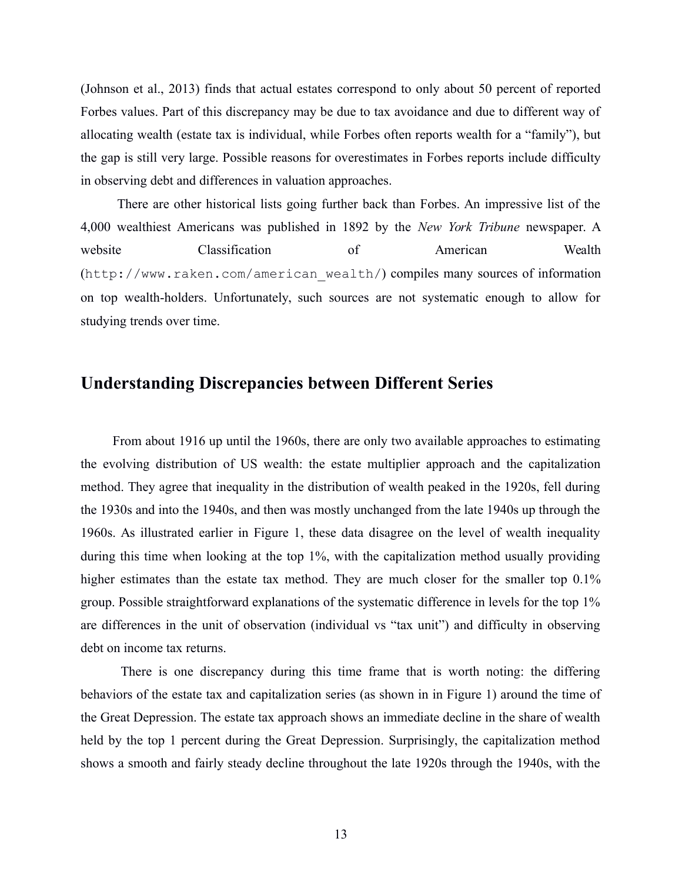(Johnson et al., 2013) finds that actual estates correspond to only about 50 percent of reported Forbes values. Part of this discrepancy may be due to tax avoidance and due to different way of allocating wealth (estate tax is individual, while Forbes often reports wealth for a "family"), but the gap is still very large. Possible reasons for overestimates in Forbes reports include difficulty in observing debt and differences in valuation approaches.

 There are other historical lists going further back than Forbes. An impressive list of the 4,000 wealthiest Americans was published in 1892 by the *New York Tribune* newspaper. A website Classification of American Wealth (http://www.raken.com/american\_wealth/) compiles many sources of information on top wealth-holders. Unfortunately, such sources are not systematic enough to allow for studying trends over time.

## **Understanding Discrepancies between Different Series**

From about 1916 up until the 1960s, there are only two available approaches to estimating the evolving distribution of US wealth: the estate multiplier approach and the capitalization method. They agree that inequality in the distribution of wealth peaked in the 1920s, fell during the 1930s and into the 1940s, and then was mostly unchanged from the late 1940s up through the 1960s. As illustrated earlier in Figure 1, these data disagree on the level of wealth inequality during this time when looking at the top 1%, with the capitalization method usually providing higher estimates than the estate tax method. They are much closer for the smaller top  $0.1\%$ group. Possible straightforward explanations of the systematic difference in levels for the top 1% are differences in the unit of observation (individual vs "tax unit") and difficulty in observing debt on income tax returns.

There is one discrepancy during this time frame that is worth noting: the differing behaviors of the estate tax and capitalization series (as shown in in Figure 1) around the time of the Great Depression. The estate tax approach shows an immediate decline in the share of wealth held by the top 1 percent during the Great Depression. Surprisingly, the capitalization method shows a smooth and fairly steady decline throughout the late 1920s through the 1940s, with the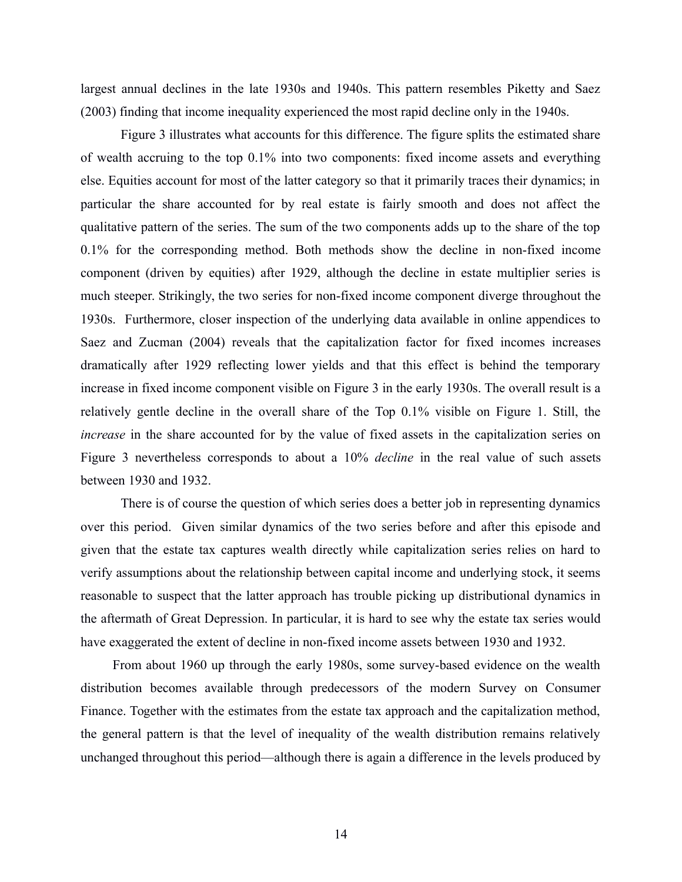largest annual declines in the late 1930s and 1940s. This pattern resembles Piketty and Saez (2003) finding that income inequality experienced the most rapid decline only in the 1940s.

Figure 3 illustrates what accounts for this difference. The figure splits the estimated share of wealth accruing to the top 0.1% into two components: fixed income assets and everything else. Equities account for most of the latter category so that it primarily traces their dynamics; in particular the share accounted for by real estate is fairly smooth and does not affect the qualitative pattern of the series. The sum of the two components adds up to the share of the top 0.1% for the corresponding method. Both methods show the decline in non-fixed income component (driven by equities) after 1929, although the decline in estate multiplier series is much steeper. Strikingly, the two series for non-fixed income component diverge throughout the 1930s. Furthermore, closer inspection of the underlying data available in online appendices to Saez and Zucman (2004) reveals that the capitalization factor for fixed incomes increases dramatically after 1929 reflecting lower yields and that this effect is behind the temporary increase in fixed income component visible on Figure 3 in the early 1930s. The overall result is a relatively gentle decline in the overall share of the Top 0.1% visible on Figure 1. Still, the *increase* in the share accounted for by the value of fixed assets in the capitalization series on Figure 3 nevertheless corresponds to about a 10% *decline* in the real value of such assets between 1930 and 1932.

There is of course the question of which series does a better job in representing dynamics over this period. Given similar dynamics of the two series before and after this episode and given that the estate tax captures wealth directly while capitalization series relies on hard to verify assumptions about the relationship between capital income and underlying stock, it seems reasonable to suspect that the latter approach has trouble picking up distributional dynamics in the aftermath of Great Depression. In particular, it is hard to see why the estate tax series would have exaggerated the extent of decline in non-fixed income assets between 1930 and 1932.

From about 1960 up through the early 1980s, some survey-based evidence on the wealth distribution becomes available through predecessors of the modern Survey on Consumer Finance. Together with the estimates from the estate tax approach and the capitalization method, the general pattern is that the level of inequality of the wealth distribution remains relatively unchanged throughout this period—although there is again a difference in the levels produced by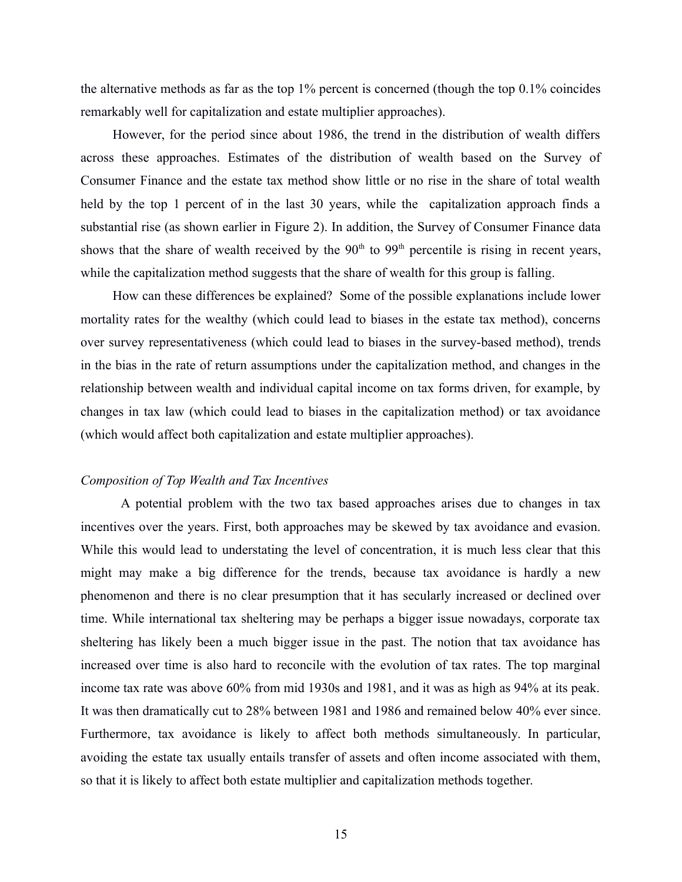the alternative methods as far as the top 1% percent is concerned (though the top 0.1% coincides remarkably well for capitalization and estate multiplier approaches).

However, for the period since about 1986, the trend in the distribution of wealth differs across these approaches. Estimates of the distribution of wealth based on the Survey of Consumer Finance and the estate tax method show little or no rise in the share of total wealth held by the top 1 percent of in the last 30 years, while the capitalization approach finds a substantial rise (as shown earlier in Figure 2). In addition, the Survey of Consumer Finance data shows that the share of wealth received by the  $90<sup>th</sup>$  to  $99<sup>th</sup>$  percentile is rising in recent years, while the capitalization method suggests that the share of wealth for this group is falling.

How can these differences be explained? Some of the possible explanations include lower mortality rates for the wealthy (which could lead to biases in the estate tax method), concerns over survey representativeness (which could lead to biases in the survey-based method), trends in the bias in the rate of return assumptions under the capitalization method, and changes in the relationship between wealth and individual capital income on tax forms driven, for example, by changes in tax law (which could lead to biases in the capitalization method) or tax avoidance (which would affect both capitalization and estate multiplier approaches).

#### *Composition of Top Wealth and Tax Incentives*

A potential problem with the two tax based approaches arises due to changes in tax incentives over the years. First, both approaches may be skewed by tax avoidance and evasion. While this would lead to understating the level of concentration, it is much less clear that this might may make a big difference for the trends, because tax avoidance is hardly a new phenomenon and there is no clear presumption that it has secularly increased or declined over time. While international tax sheltering may be perhaps a bigger issue nowadays, corporate tax sheltering has likely been a much bigger issue in the past. The notion that tax avoidance has increased over time is also hard to reconcile with the evolution of tax rates. The top marginal income tax rate was above 60% from mid 1930s and 1981, and it was as high as 94% at its peak. It was then dramatically cut to 28% between 1981 and 1986 and remained below 40% ever since. Furthermore, tax avoidance is likely to affect both methods simultaneously. In particular, avoiding the estate tax usually entails transfer of assets and often income associated with them, so that it is likely to affect both estate multiplier and capitalization methods together.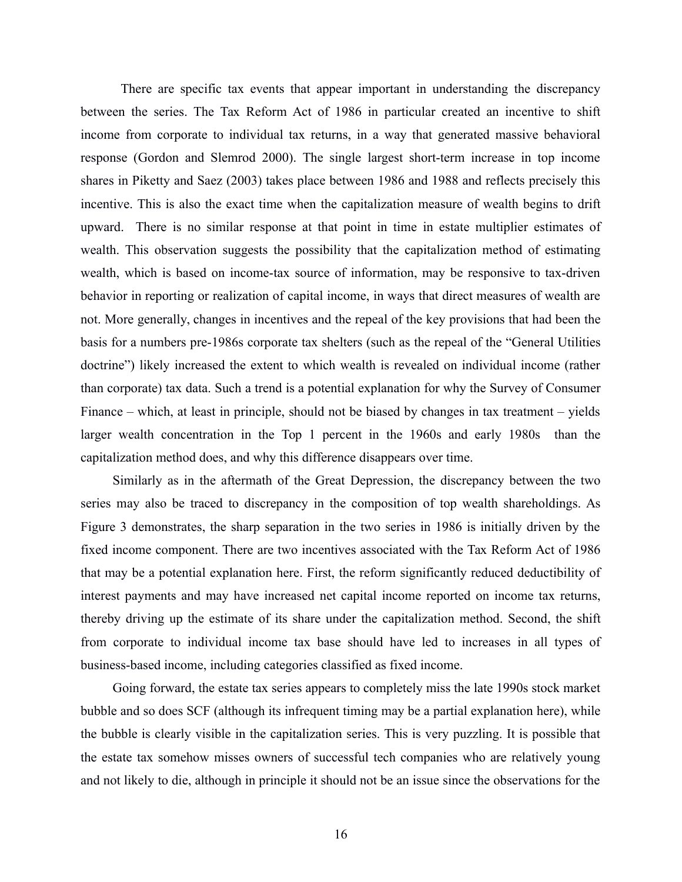There are specific tax events that appear important in understanding the discrepancy between the series. The Tax Reform Act of 1986 in particular created an incentive to shift income from corporate to individual tax returns, in a way that generated massive behavioral response (Gordon and Slemrod 2000). The single largest short-term increase in top income shares in Piketty and Saez (2003) takes place between 1986 and 1988 and reflects precisely this incentive. This is also the exact time when the capitalization measure of wealth begins to drift upward. There is no similar response at that point in time in estate multiplier estimates of wealth. This observation suggests the possibility that the capitalization method of estimating wealth, which is based on income-tax source of information, may be responsive to tax-driven behavior in reporting or realization of capital income, in ways that direct measures of wealth are not. More generally, changes in incentives and the repeal of the key provisions that had been the basis for a numbers pre-1986s corporate tax shelters (such as the repeal of the "General Utilities doctrine") likely increased the extent to which wealth is revealed on individual income (rather than corporate) tax data. Such a trend is a potential explanation for why the Survey of Consumer Finance – which, at least in principle, should not be biased by changes in tax treatment – yields larger wealth concentration in the Top 1 percent in the 1960s and early 1980s than the capitalization method does, and why this difference disappears over time.

Similarly as in the aftermath of the Great Depression, the discrepancy between the two series may also be traced to discrepancy in the composition of top wealth shareholdings. As Figure 3 demonstrates, the sharp separation in the two series in 1986 is initially driven by the fixed income component. There are two incentives associated with the Tax Reform Act of 1986 that may be a potential explanation here. First, the reform significantly reduced deductibility of interest payments and may have increased net capital income reported on income tax returns, thereby driving up the estimate of its share under the capitalization method. Second, the shift from corporate to individual income tax base should have led to increases in all types of business-based income, including categories classified as fixed income.

Going forward, the estate tax series appears to completely miss the late 1990s stock market bubble and so does SCF (although its infrequent timing may be a partial explanation here), while the bubble is clearly visible in the capitalization series. This is very puzzling. It is possible that the estate tax somehow misses owners of successful tech companies who are relatively young and not likely to die, although in principle it should not be an issue since the observations for the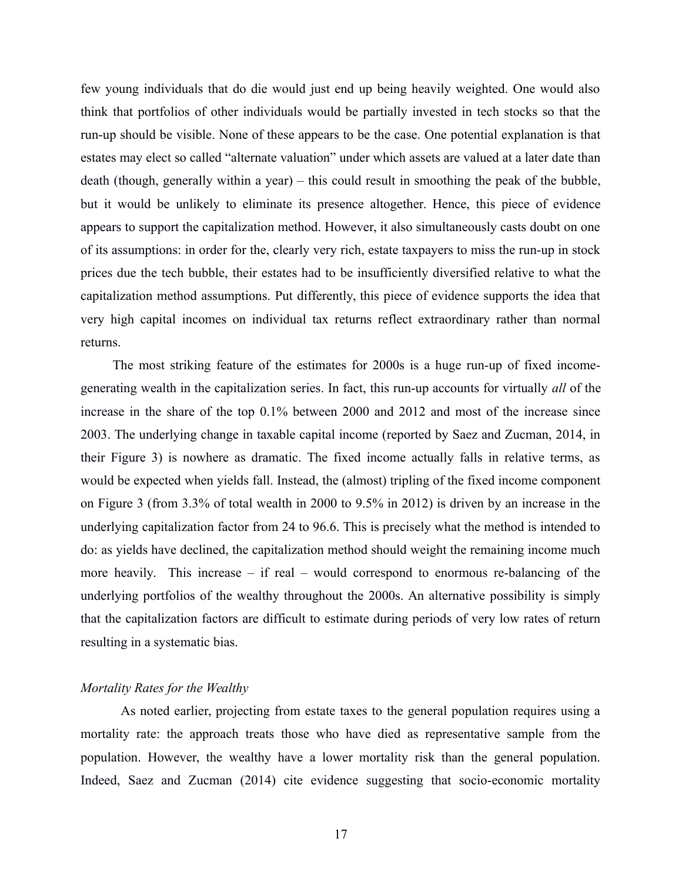few young individuals that do die would just end up being heavily weighted. One would also think that portfolios of other individuals would be partially invested in tech stocks so that the run-up should be visible. None of these appears to be the case. One potential explanation is that estates may elect so called "alternate valuation" under which assets are valued at a later date than death (though, generally within a year) – this could result in smoothing the peak of the bubble, but it would be unlikely to eliminate its presence altogether. Hence, this piece of evidence appears to support the capitalization method. However, it also simultaneously casts doubt on one of its assumptions: in order for the, clearly very rich, estate taxpayers to miss the run-up in stock prices due the tech bubble, their estates had to be insufficiently diversified relative to what the capitalization method assumptions. Put differently, this piece of evidence supports the idea that very high capital incomes on individual tax returns reflect extraordinary rather than normal returns.

The most striking feature of the estimates for 2000s is a huge run-up of fixed incomegenerating wealth in the capitalization series. In fact, this run-up accounts for virtually *all* of the increase in the share of the top 0.1% between 2000 and 2012 and most of the increase since 2003. The underlying change in taxable capital income (reported by Saez and Zucman, 2014, in their Figure 3) is nowhere as dramatic. The fixed income actually falls in relative terms, as would be expected when yields fall. Instead, the (almost) tripling of the fixed income component on Figure 3 (from 3.3% of total wealth in 2000 to 9.5% in 2012) is driven by an increase in the underlying capitalization factor from 24 to 96.6. This is precisely what the method is intended to do: as yields have declined, the capitalization method should weight the remaining income much more heavily. This increase – if real – would correspond to enormous re-balancing of the underlying portfolios of the wealthy throughout the 2000s. An alternative possibility is simply that the capitalization factors are difficult to estimate during periods of very low rates of return resulting in a systematic bias.

### *Mortality Rates for the Wealthy*

As noted earlier, projecting from estate taxes to the general population requires using a mortality rate: the approach treats those who have died as representative sample from the population. However, the wealthy have a lower mortality risk than the general population. Indeed, Saez and Zucman (2014) cite evidence suggesting that socio-economic mortality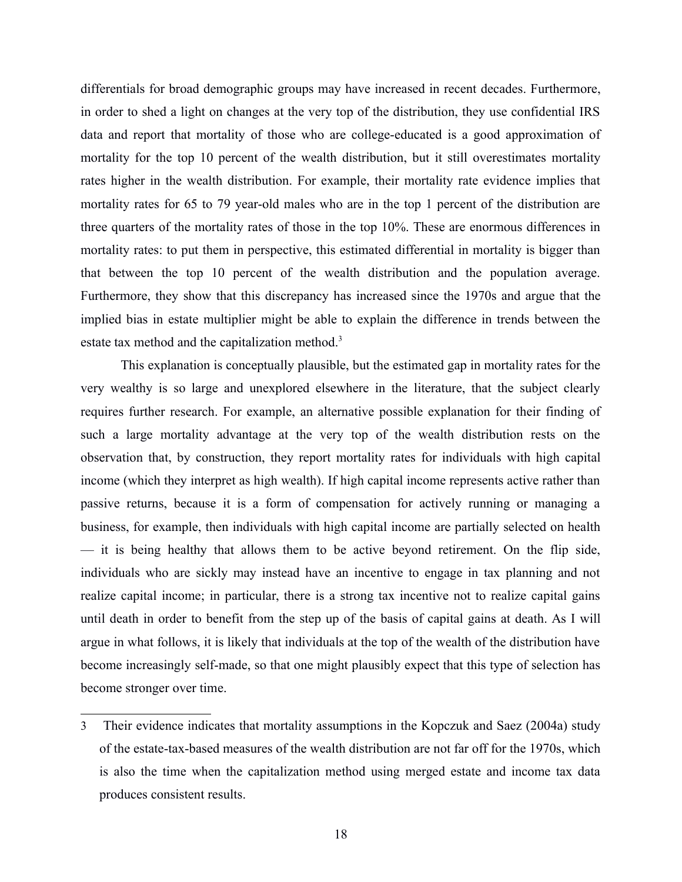differentials for broad demographic groups may have increased in recent decades. Furthermore, in order to shed a light on changes at the very top of the distribution, they use confidential IRS data and report that mortality of those who are college-educated is a good approximation of mortality for the top 10 percent of the wealth distribution, but it still overestimates mortality rates higher in the wealth distribution. For example, their mortality rate evidence implies that mortality rates for 65 to 79 year-old males who are in the top 1 percent of the distribution are three quarters of the mortality rates of those in the top 10%. These are enormous differences in mortality rates: to put them in perspective, this estimated differential in mortality is bigger than that between the top 10 percent of the wealth distribution and the population average. Furthermore, they show that this discrepancy has increased since the 1970s and argue that the implied bias in estate multiplier might be able to explain the difference in trends between the estate tax method and the capitalization method.<sup>[3](#page-18-0)</sup>

This explanation is conceptually plausible, but the estimated gap in mortality rates for the very wealthy is so large and unexplored elsewhere in the literature, that the subject clearly requires further research. For example, an alternative possible explanation for their finding of such a large mortality advantage at the very top of the wealth distribution rests on the observation that, by construction, they report mortality rates for individuals with high capital income (which they interpret as high wealth). If high capital income represents active rather than passive returns, because it is a form of compensation for actively running or managing a business, for example, then individuals with high capital income are partially selected on health — it is being healthy that allows them to be active beyond retirement. On the flip side, individuals who are sickly may instead have an incentive to engage in tax planning and not realize capital income; in particular, there is a strong tax incentive not to realize capital gains until death in order to benefit from the step up of the basis of capital gains at death. As I will argue in what follows, it is likely that individuals at the top of the wealth of the distribution have become increasingly self-made, so that one might plausibly expect that this type of selection has become stronger over time.

<span id="page-18-0"></span><sup>3</sup> Their evidence indicates that mortality assumptions in the Kopczuk and Saez (2004a) study of the estate-tax-based measures of the wealth distribution are not far off for the 1970s, which is also the time when the capitalization method using merged estate and income tax data produces consistent results.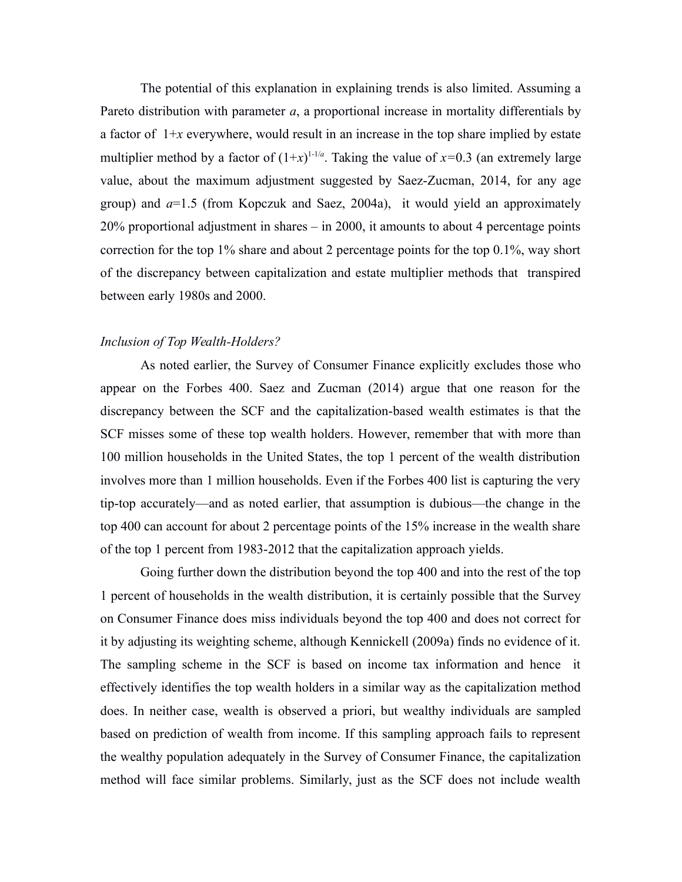The potential of this explanation in explaining trends is also limited. Assuming a Pareto distribution with parameter *a*, a proportional increase in mortality differentials by a factor of 1+*x* everywhere, would result in an increase in the top share implied by estate multiplier method by a factor of  $(1+x)^{1-1/a}$ . Taking the value of  $x=0.3$  (an extremely large value, about the maximum adjustment suggested by Saez-Zucman, 2014, for any age group) and *a*=1.5 (from Kopczuk and Saez, 2004a), it would yield an approximately 20% proportional adjustment in shares – in 2000, it amounts to about 4 percentage points correction for the top 1% share and about 2 percentage points for the top 0.1%, way short of the discrepancy between capitalization and estate multiplier methods that transpired between early 1980s and 2000.

#### *Inclusion of Top Wealth-Holders?*

As noted earlier, the Survey of Consumer Finance explicitly excludes those who appear on the Forbes 400. Saez and Zucman (2014) argue that one reason for the discrepancy between the SCF and the capitalization-based wealth estimates is that the SCF misses some of these top wealth holders. However, remember that with more than 100 million households in the United States, the top 1 percent of the wealth distribution involves more than 1 million households. Even if the Forbes 400 list is capturing the very tip-top accurately—and as noted earlier, that assumption is dubious—the change in the top 400 can account for about 2 percentage points of the 15% increase in the wealth share of the top 1 percent from 1983-2012 that the capitalization approach yields.

Going further down the distribution beyond the top 400 and into the rest of the top 1 percent of households in the wealth distribution, it is certainly possible that the Survey on Consumer Finance does miss individuals beyond the top 400 and does not correct for it by adjusting its weighting scheme, although Kennickell (2009a) finds no evidence of it. The sampling scheme in the SCF is based on income tax information and hence it effectively identifies the top wealth holders in a similar way as the capitalization method does. In neither case, wealth is observed a priori, but wealthy individuals are sampled based on prediction of wealth from income. If this sampling approach fails to represent the wealthy population adequately in the Survey of Consumer Finance, the capitalization method will face similar problems. Similarly, just as the SCF does not include wealth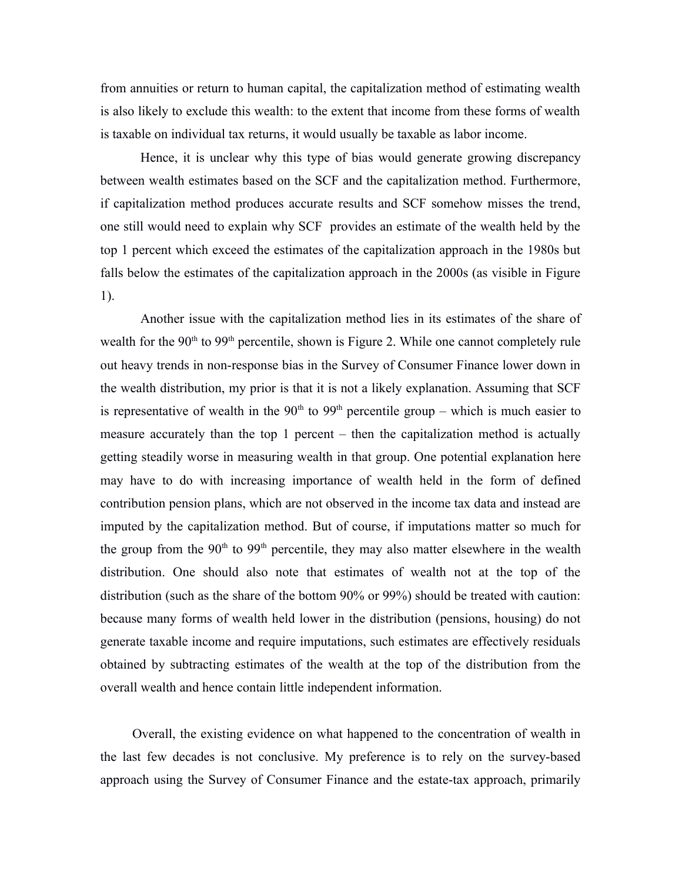from annuities or return to human capital, the capitalization method of estimating wealth is also likely to exclude this wealth: to the extent that income from these forms of wealth is taxable on individual tax returns, it would usually be taxable as labor income.

Hence, it is unclear why this type of bias would generate growing discrepancy between wealth estimates based on the SCF and the capitalization method. Furthermore, if capitalization method produces accurate results and SCF somehow misses the trend, one still would need to explain why SCF provides an estimate of the wealth held by the top 1 percent which exceed the estimates of the capitalization approach in the 1980s but falls below the estimates of the capitalization approach in the 2000s (as visible in Figure 1).

Another issue with the capitalization method lies in its estimates of the share of wealth for the  $90<sup>th</sup>$  to  $99<sup>th</sup>$  percentile, shown is Figure 2. While one cannot completely rule out heavy trends in non-response bias in the Survey of Consumer Finance lower down in the wealth distribution, my prior is that it is not a likely explanation. Assuming that SCF is representative of wealth in the  $90<sup>th</sup>$  to  $99<sup>th</sup>$  percentile group – which is much easier to measure accurately than the top 1 percent – then the capitalization method is actually getting steadily worse in measuring wealth in that group. One potential explanation here may have to do with increasing importance of wealth held in the form of defined contribution pension plans, which are not observed in the income tax data and instead are imputed by the capitalization method. But of course, if imputations matter so much for the group from the  $90<sup>th</sup>$  to  $99<sup>th</sup>$  percentile, they may also matter elsewhere in the wealth distribution. One should also note that estimates of wealth not at the top of the distribution (such as the share of the bottom 90% or 99%) should be treated with caution: because many forms of wealth held lower in the distribution (pensions, housing) do not generate taxable income and require imputations, such estimates are effectively residuals obtained by subtracting estimates of the wealth at the top of the distribution from the overall wealth and hence contain little independent information.

Overall, the existing evidence on what happened to the concentration of wealth in the last few decades is not conclusive. My preference is to rely on the survey-based approach using the Survey of Consumer Finance and the estate-tax approach, primarily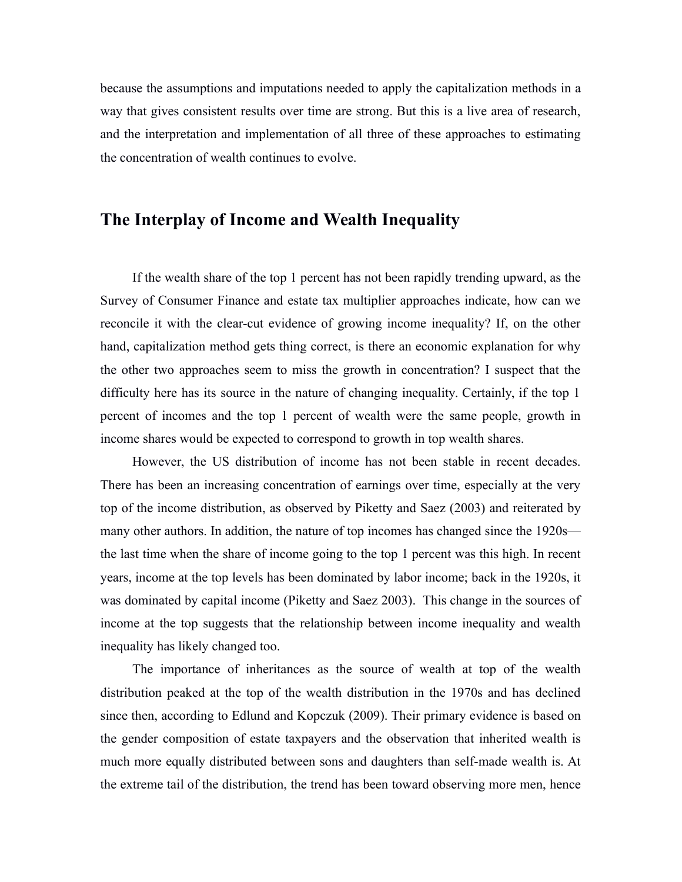because the assumptions and imputations needed to apply the capitalization methods in a way that gives consistent results over time are strong. But this is a live area of research, and the interpretation and implementation of all three of these approaches to estimating the concentration of wealth continues to evolve.

# **The Interplay of Income and Wealth Inequality**

If the wealth share of the top 1 percent has not been rapidly trending upward, as the Survey of Consumer Finance and estate tax multiplier approaches indicate, how can we reconcile it with the clear-cut evidence of growing income inequality? If, on the other hand, capitalization method gets thing correct, is there an economic explanation for why the other two approaches seem to miss the growth in concentration? I suspect that the difficulty here has its source in the nature of changing inequality. Certainly, if the top 1 percent of incomes and the top 1 percent of wealth were the same people, growth in income shares would be expected to correspond to growth in top wealth shares.

However, the US distribution of income has not been stable in recent decades. There has been an increasing concentration of earnings over time, especially at the very top of the income distribution, as observed by Piketty and Saez (2003) and reiterated by many other authors. In addition, the nature of top incomes has changed since the 1920s the last time when the share of income going to the top 1 percent was this high. In recent years, income at the top levels has been dominated by labor income; back in the 1920s, it was dominated by capital income (Piketty and Saez 2003). This change in the sources of income at the top suggests that the relationship between income inequality and wealth inequality has likely changed too.

The importance of inheritances as the source of wealth at top of the wealth distribution peaked at the top of the wealth distribution in the 1970s and has declined since then, according to Edlund and Kopczuk (2009). Their primary evidence is based on the gender composition of estate taxpayers and the observation that inherited wealth is much more equally distributed between sons and daughters than self-made wealth is. At the extreme tail of the distribution, the trend has been toward observing more men, hence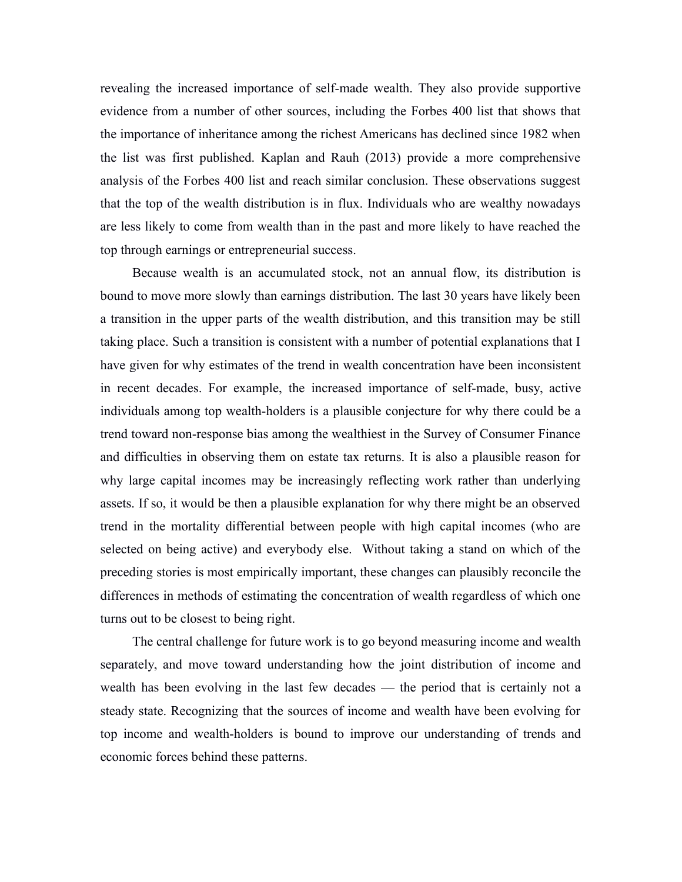revealing the increased importance of self-made wealth. They also provide supportive evidence from a number of other sources, including the Forbes 400 list that shows that the importance of inheritance among the richest Americans has declined since 1982 when the list was first published. Kaplan and Rauh (2013) provide a more comprehensive analysis of the Forbes 400 list and reach similar conclusion. These observations suggest that the top of the wealth distribution is in flux. Individuals who are wealthy nowadays are less likely to come from wealth than in the past and more likely to have reached the top through earnings or entrepreneurial success.

Because wealth is an accumulated stock, not an annual flow, its distribution is bound to move more slowly than earnings distribution. The last 30 years have likely been a transition in the upper parts of the wealth distribution, and this transition may be still taking place. Such a transition is consistent with a number of potential explanations that I have given for why estimates of the trend in wealth concentration have been inconsistent in recent decades. For example, the increased importance of self-made, busy, active individuals among top wealth-holders is a plausible conjecture for why there could be a trend toward non-response bias among the wealthiest in the Survey of Consumer Finance and difficulties in observing them on estate tax returns. It is also a plausible reason for why large capital incomes may be increasingly reflecting work rather than underlying assets. If so, it would be then a plausible explanation for why there might be an observed trend in the mortality differential between people with high capital incomes (who are selected on being active) and everybody else. Without taking a stand on which of the preceding stories is most empirically important, these changes can plausibly reconcile the differences in methods of estimating the concentration of wealth regardless of which one turns out to be closest to being right.

The central challenge for future work is to go beyond measuring income and wealth separately, and move toward understanding how the joint distribution of income and wealth has been evolving in the last few decades — the period that is certainly not a steady state. Recognizing that the sources of income and wealth have been evolving for top income and wealth-holders is bound to improve our understanding of trends and economic forces behind these patterns.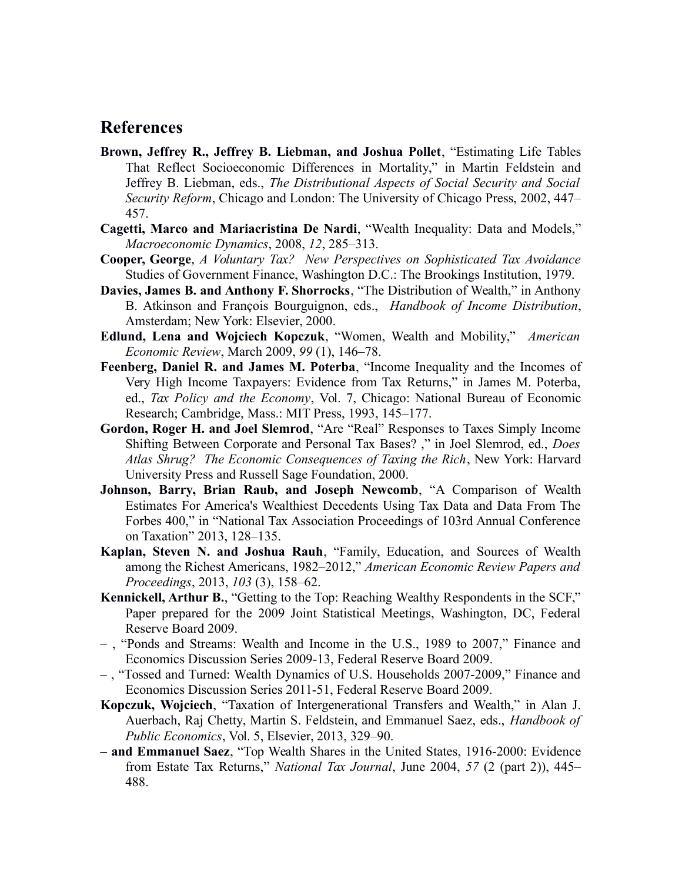## **References**

- **Brown, Jeffrey R., Jeffrey B. Liebman, and Joshua Pollet**, "Estimating Life Tables That Reflect Socioeconomic Differences in Mortality," in Martin Feldstein and Jeffrey B. Liebman, eds., *The Distributional Aspects of Social Security and Social Security Reform*, Chicago and London: The University of Chicago Press, 2002, 447– 457.
- **Cagetti, Marco and Mariacristina De Nardi**, "Wealth Inequality: Data and Models," *Macroeconomic Dynamics*, 2008, *12*, 285–313.
- **Cooper, George**, *A Voluntary Tax? New Perspectives on Sophisticated Tax Avoidance* Studies of Government Finance, Washington D.C.: The Brookings Institution, 1979.
- **Davies, James B. and Anthony F. Shorrocks**, "The Distribution of Wealth," in Anthony B. Atkinson and François Bourguignon, eds., *Handbook of Income Distribution*, Amsterdam; New York: Elsevier, 2000.
- **Edlund, Lena and Wojciech Kopczuk**, "Women, Wealth and Mobility," *American Economic Review*, March 2009, *99* (1), 146–78.
- **Feenberg, Daniel R. and James M. Poterba**, "Income Inequality and the Incomes of Very High Income Taxpayers: Evidence from Tax Returns," in James M. Poterba, ed., *Tax Policy and the Economy*, Vol. 7, Chicago: National Bureau of Economic Research; Cambridge, Mass.: MIT Press, 1993, 145–177.
- **Gordon, Roger H. and Joel Slemrod**, "Are "Real" Responses to Taxes Simply Income Shifting Between Corporate and Personal Tax Bases? ," in Joel Slemrod, ed., *Does Atlas Shrug? The Economic Consequences of Taxing the Rich*, New York: Harvard University Press and Russell Sage Foundation, 2000.
- **Johnson, Barry, Brian Raub, and Joseph Newcomb**, "A Comparison of Wealth Estimates For America's Wealthiest Decedents Using Tax Data and Data From The Forbes 400," in "National Tax Association Proceedings of 103rd Annual Conference on Taxation" 2013, 128–135.
- **Kaplan, Steven N. and Joshua Rauh**, "Family, Education, and Sources of Wealth among the Richest Americans, 1982–2012," *American Economic Review Papers and Proceedings*, 2013, *103* (3), 158–62.
- **Kennickell, Arthur B.**, "Getting to the Top: Reaching Wealthy Respondents in the SCF," Paper prepared for the 2009 Joint Statistical Meetings, Washington, DC, Federal Reserve Board 2009.
- , "Ponds and Streams: Wealth and Income in the U.S., 1989 to 2007," Finance and Economics Discussion Series 2009-13, Federal Reserve Board 2009.
- , "Tossed and Turned: Wealth Dynamics of U.S. Households 2007-2009," Finance and Economics Discussion Series 2011-51, Federal Reserve Board 2009.
- **Kopczuk, Wojciech**, "Taxation of Intergenerational Transfers and Wealth," in Alan J. Auerbach, Raj Chetty, Martin S. Feldstein, and Emmanuel Saez, eds., *Handbook of Public Economics*, Vol. 5, Elsevier, 2013, 329–90.
- **and Emmanuel Saez**, "Top Wealth Shares in the United States, 1916-2000: Evidence from Estate Tax Returns," *National Tax Journal*, June 2004, *57* (2 (part 2)), 445– 488.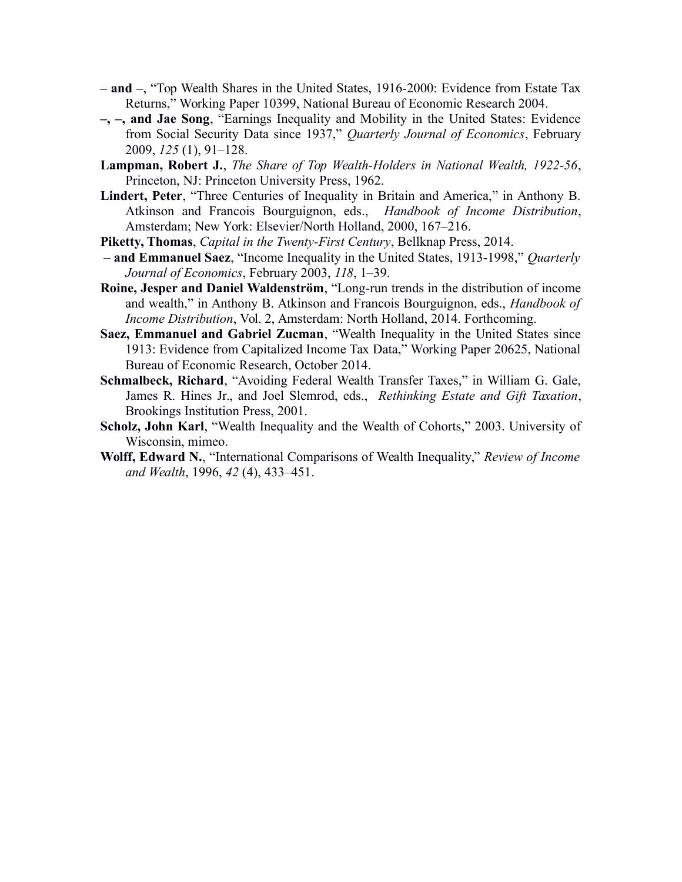- **and –**, "Top Wealth Shares in the United States, 1916-2000: Evidence from Estate Tax Returns," Working Paper 10399, National Bureau of Economic Research 2004.
- **–, –, and Jae Song**, "Earnings Inequality and Mobility in the United States: Evidence from Social Security Data since 1937," *Quarterly Journal of Economics*, February 2009, *125* (1), 91–128.
- **Lampman, Robert J.**, *The Share of Top Wealth-Holders in National Wealth, 1922-56*, Princeton, NJ: Princeton University Press, 1962.
- **Lindert, Peter**, "Three Centuries of Inequality in Britain and America," in Anthony B. Atkinson and Francois Bourguignon, eds., *Handbook of Income Distribution*, Amsterdam; New York: Elsevier/North Holland, 2000, 167–216.
- **Piketty, Thomas**, *Capital in the Twenty-First Century*, Bellknap Press, 2014.
- – **and Emmanuel Saez**, "Income Inequality in the United States, 1913-1998," *Quarterly Journal of Economics*, February 2003, *118*, 1–39.
- **Roine, Jesper and Daniel Waldenström**, "Long-run trends in the distribution of income and wealth," in Anthony B. Atkinson and Francois Bourguignon, eds., *Handbook of Income Distribution*, Vol. 2, Amsterdam: North Holland, 2014. Forthcoming.
- **Saez, Emmanuel and Gabriel Zucman**, "Wealth Inequality in the United States since 1913: Evidence from Capitalized Income Tax Data," Working Paper 20625, National Bureau of Economic Research, October 2014.
- **Schmalbeck, Richard**, "Avoiding Federal Wealth Transfer Taxes," in William G. Gale, James R. Hines Jr., and Joel Slemrod, eds., *Rethinking Estate and Gift Taxation*, Brookings Institution Press, 2001.
- **Scholz, John Karl**, "Wealth Inequality and the Wealth of Cohorts," 2003. University of Wisconsin, mimeo.
- **Wolff, Edward N.**, "International Comparisons of Wealth Inequality," *Review of Income and Wealth*, 1996, *42* (4), 433–451.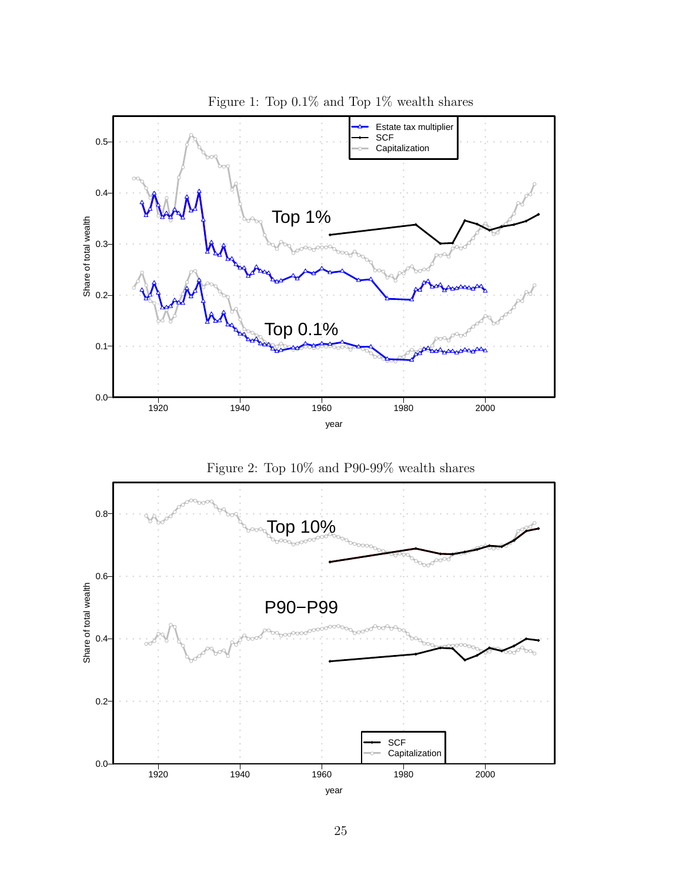